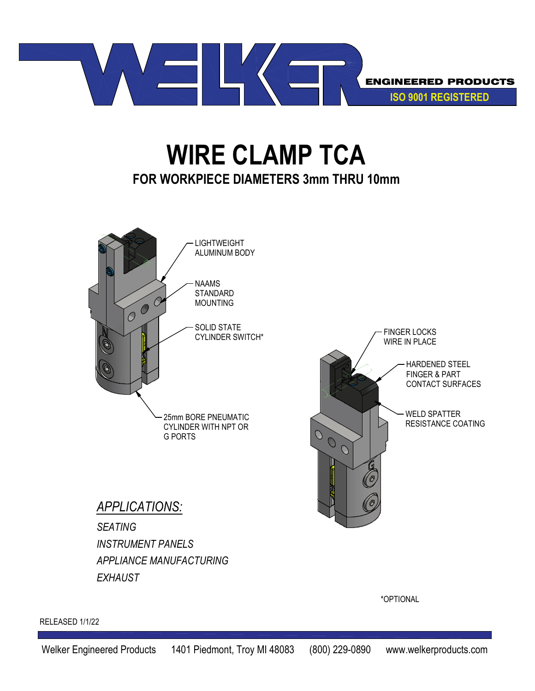

## **WIRE CLAMP TCA FOR WORKPIECE DIAMETERS 3mm THRU 10mm**



\*OPTIONAL

RELEASED 1/1/22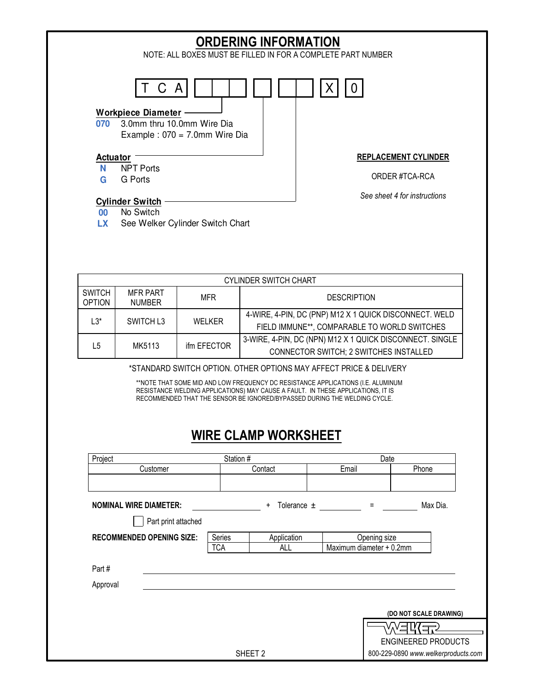

|                                | <b>CYLINDER SWITCH CHART</b>     |             |                                                                                                           |  |  |  |  |
|--------------------------------|----------------------------------|-------------|-----------------------------------------------------------------------------------------------------------|--|--|--|--|
| <b>SWITCH</b><br><b>OPTION</b> | <b>MFR PART</b><br><b>NUMBER</b> | MFR         | <b>DESCRIPTION</b>                                                                                        |  |  |  |  |
| ⊀?. ا                          | SWITCH L3                        | WFI KFR     | 4-WIRE, 4-PIN, DC (PNP) M12 X 1 QUICK DISCONNECT. WELD<br>FIELD IMMUNE**, COMPARABLE TO WORLD SWITCHES    |  |  |  |  |
| l 5                            | MK5113                           | ifm EFECTOR | 3-WIRE, 4-PIN, DC (NPN) M12 X 1 QUICK DISCONNECT. SINGLE<br><b>CONNECTOR SWITCH; 2 SWITCHES INSTALLED</b> |  |  |  |  |

\*STANDARD SWITCH OPTION. OTHER OPTIONS MAY AFFECT PRICE & DELIVERY

\*\*NOTE THAT SOME MID AND LOW FREQUENCY DC RESISTANCE APPLICATIONS (I.E. ALUMINUM RESISTANCE WELDING APPLICATIONS) MAY CAUSE A FAULT. IN THESE APPLICATIONS, IT IS RECOMMENDED THAT THE SENSOR BE IGNORED/BYPASSED DURING THE WELDING CYCLE.

## **WIRE CLAMP WORKSHEET**

| Project                          | Station #              |                    |              | Date                                |  |
|----------------------------------|------------------------|--------------------|--------------|-------------------------------------|--|
| Customer                         |                        | Contact            | Email        | Phone                               |  |
|                                  |                        |                    |              |                                     |  |
| <b>NOMINAL WIRE DIAMETER:</b>    | Tolerance $\pm$<br>$+$ | $\equiv$           | Max Dia.     |                                     |  |
| Part print attached              |                        |                    |              |                                     |  |
| <b>RECOMMENDED OPENING SIZE:</b> | Series                 | Application        | Opening size |                                     |  |
|                                  | <b>TCA</b>             | ALL                |              | Maximum diameter + 0.2mm            |  |
| Part #<br>Approval               |                        |                    |              |                                     |  |
|                                  |                        |                    |              |                                     |  |
|                                  |                        |                    |              | (DO NOT SCALE DRAWING)              |  |
|                                  |                        |                    |              | ′dĽ<br>コ                            |  |
|                                  |                        |                    |              | <b>ENGINEERED PRODUCTS</b>          |  |
|                                  |                        | SHEET <sub>2</sub> |              | 800-229-0890 www.welkerproducts.com |  |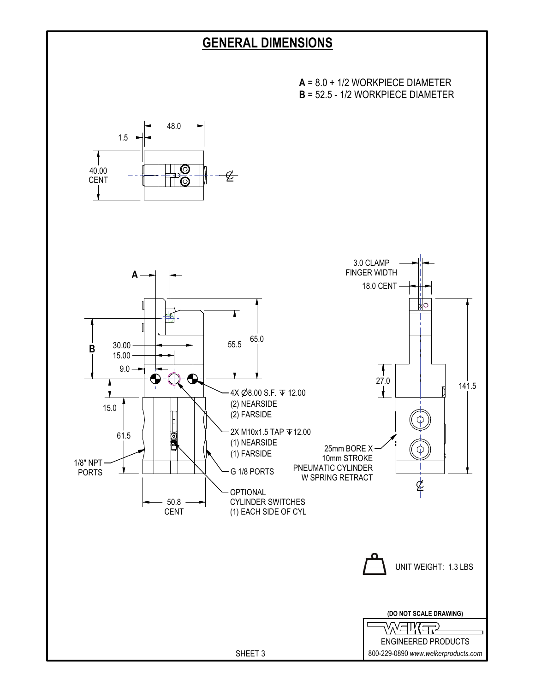